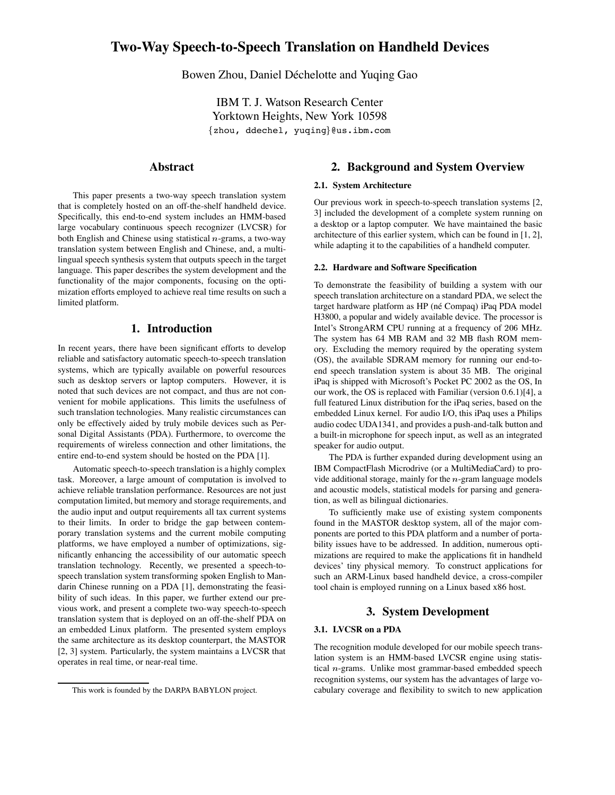# **Two-Way Speech-to-Speech Translation on Handheld Devices**

Bowen Zhou, Daniel Déchelotte and Yuqing Gao

IBM T. J. Watson Research Center Yorktown Heights, New York 10598 {zhou, ddechel, yuqing}@us.ibm.com

# **Abstract**

This paper presents a two-way speech translation system that is completely hosted on an off-the-shelf handheld device. Specifically, this end-to-end system includes an HMM-based large vocabulary continuous speech recognizer (LVCSR) for both English and Chinese using statistical  $n$ -grams, a two-way translation system between English and Chinese, and, a multilingual speech synthesis system that outputs speech in the target language. This paper describes the system development and the functionality of the major components, focusing on the optimization efforts employed to achieve real time results on such a limited platform.

### **1. Introduction**

In recent years, there have been significant efforts to develop reliable and satisfactory automatic speech-to-speech translation systems, which are typically available on powerful resources such as desktop servers or laptop computers. However, it is noted that such devices are not compact, and thus are not convenient for mobile applications. This limits the usefulness of such translation technologies. Many realistic circumstances can only be effectively aided by truly mobile devices such as Personal Digital Assistants (PDA). Furthermore, to overcome the requirements of wireless connection and other limitations, the entire end-to-end system should be hosted on the PDA [1].

Automatic speech-to-speech translation is a highly complex task. Moreover, a large amount of computation is involved to achieve reliable translation performance. Resources are not just computation limited, but memory and storage requirements, and the audio input and output requirements all tax current systems to their limits. In order to bridge the gap between contemporary translation systems and the current mobile computing platforms, we have employed a number of optimizations, significantly enhancing the accessibility of our automatic speech translation technology. Recently, we presented a speech-tospeech translation system transforming spoken English to Mandarin Chinese running on a PDA [1], demonstrating the feasibility of such ideas. In this paper, we further extend our previous work, and present a complete two-way speech-to-speech translation system that is deployed on an off-the-shelf PDA on an embedded Linux platform. The presented system employs the same architecture as its desktop counterpart, the MASTOR [2, 3] system. Particularly, the system maintains a LVCSR that operates in real time, or near-real time.

# **2. Background and System Overview**

### **2.1. System Architecture**

Our previous work in speech-to-speech translation systems [2, 3] included the development of a complete system running on a desktop or a laptop computer. We have maintained the basic architecture of this earlier system, which can be found in [1, 2], while adapting it to the capabilities of a handheld computer.

#### **2.2. Hardware and Software Specification**

To demonstrate the feasibility of building a system with our speech translation architecture on a standard PDA, we select the target hardware platform as HP (né Compaq) iPaq PDA model H3800, a popular and widely available device. The processor is Intel's StrongARM CPU running at a frequency of 206 MHz. The system has 64 MB RAM and 32 MB flash ROM memory. Excluding the memory required by the operating system (OS), the available SDRAM memory for running our end-toend speech translation system is about 35 MB. The original iPaq is shipped with Microsoft's Pocket PC 2002 as the OS, In our work, the OS is replaced with Familiar (version 0.6.1)[4], a full featured Linux distribution for the iPaq series, based on the embedded Linux kernel. For audio I/O, this iPaq uses a Philips audio codec UDA1341, and provides a push-and-talk button and a built-in microphone for speech input, as well as an integrated speaker for audio output.

The PDA is further expanded during development using an IBM CompactFlash Microdrive (or a MultiMediaCard) to provide additional storage, mainly for the  $n$ -gram language models and acoustic models, statistical models for parsing and generation, as well as bilingual dictionaries.

To sufficiently make use of existing system components found in the MASTOR desktop system, all of the major components are ported to this PDA platform and a number of portability issues have to be addressed. In addition, numerous optimizations are required to make the applications fit in handheld devices' tiny physical memory. To construct applications for such an ARM-Linux based handheld device, a cross-compiler tool chain is employed running on a Linux based x86 host.

# **3. System Development**

#### **3.1. LVCSR on a PDA**

The recognition module developed for our mobile speech translation system is an HMM-based LVCSR engine using statistical  $n$ -grams. Unlike most grammar-based embedded speech recognition systems, our system has the advantages of large vocabulary coverage and flexibility to switch to new application

This work is founded by the DARPA BABYLON project.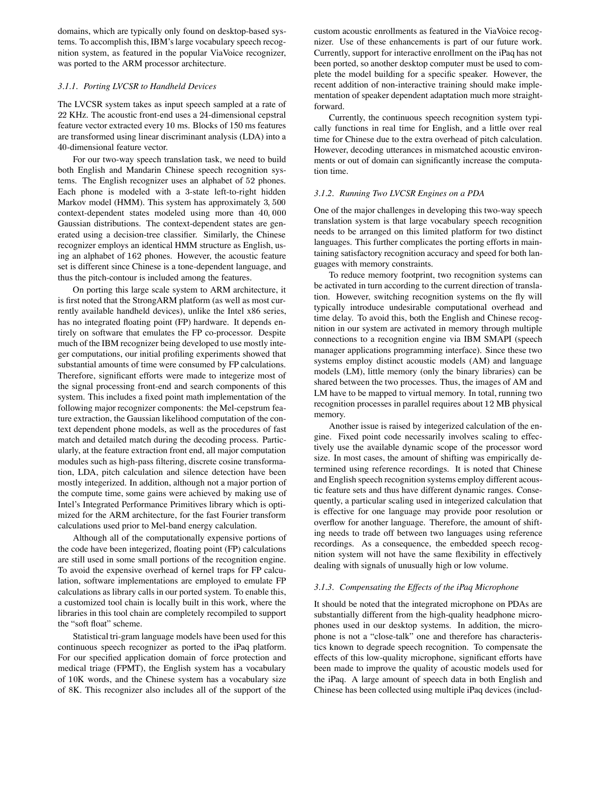domains, which are typically only found on desktop-based systems. To accomplish this, IBM's large vocabulary speech recognition system, as featured in the popular ViaVoice recognizer, was ported to the ARM processor architecture.

### *3.1.1. Porting LVCSR to Handheld Devices*

The LVCSR system takes as input speech sampled at a rate of  $22$  KHz. The acoustic front-end uses a  $24$ -dimensional cepstral feature vector extracted every 10 ms. Blocks of 150 ms features are transformed using linear discriminant analysis (LDA) into a 40-dimensional feature vector.

For our two-way speech translation task, we need to build both English and Mandarin Chinese speech recognition systems. The English recognizer uses an alphabet of 52 phones. Each phone is modeled with a 3-state left-to-right hidden Markov model (HMM). This system has approximately  $3,500$  $context-dependent$  states modeled using more than  $40,000$ Gaussian distributions. The context-dependent states are generated using a decision-tree classifier. Similarly, the Chinese recognizer employs an identical HMM structure as English, using an alphabet of 162 phones. However, the acoustic feature set is different since Chinese is a tone-dependent language, and thus the pitch-contour is included among the features.

On porting this large scale system to ARM architecture, it is first noted that the StrongARM platform (as well as most currently available handheld devices), unlike the Intel x86 series, has no integrated floating point (FP) hardware. It depends entirely on software that emulates the FP co-processor. Despite much of the IBM recognizer being developed to use mostly integer computations, our initial profiling experiments showed that substantial amounts of time were consumed by FP calculations. Therefore, significant efforts were made to integerize most of the signal processing front-end and search components of this system. This includes a fixed point math implementation of the following major recognizer components: the Mel-cepstrum feature extraction, the Gaussian likelihood computation of the context dependent phone models, as well as the procedures of fast match and detailed match during the decoding process. Particularly, at the feature extraction front end, all major computation modules such as high-pass filtering, discrete cosine transformation, LDA, pitch calculation and silence detection have been mostly integerized. In addition, although not a major portion of the compute time, some gains were achieved by making use of Intel's Integrated Performance Primitives library which is optimized for the ARM architecture, for the fast Fourier transform calculations used prior to Mel-band energy calculation.

Although all of the computationally expensive portions of the code have been integerized, floating point (FP) calculations are still used in some small portions of the recognition engine. To avoid the expensive overhead of kernel traps for FP calculation, software implementations are employed to emulate FP calculations as library calls in our ported system. To enable this, a customized tool chain is locally built in this work, where the libraries in this tool chain are completely recompiled to support the "soft float" scheme.

Statistical tri-gram language models have been used for this continuous speech recognizer as ported to the iPaq platform. For our specified application domain of force protection and medical triage (FPMT), the English system has a vocabulary of 10K words, and the Chinese system has a vocabulary size of 8K. This recognizer also includes all of the support of the custom acoustic enrollments as featured in the ViaVoice recognizer. Use of these enhancements is part of our future work. Currently, support for interactive enrollment on the iPaq has not been ported, so another desktop computer must be used to complete the model building for a specific speaker. However, the recent addition of non-interactive training should make implementation of speaker dependent adaptation much more straightforward.

Currently, the continuous speech recognition system typically functions in real time for English, and a little over real time for Chinese due to the extra overhead of pitch calculation. However, decoding utterances in mismatched acoustic environments or out of domain can significantly increase the computation time.

### *3.1.2. Running Two LVCSR Engines on a PDA*

 One of the major challenges in developing this two-way speech translation system is that large vocabulary speech recognition needs to be arranged on this limited platform for two distinct languages. This further complicates the porting efforts in maintaining satisfactory recognition accuracy and speed for both languages with memory constraints.

To reduce memory footprint, two recognition systems can be activated in turn according to the current direction of translation. However, switching recognition systems on the fly will typically introduce undesirable computational overhead and time delay. To avoid this, both the English and Chinese recognition in our system are activated in memory through multiple connections to a recognition engine via IBM SMAPI (speech manager applications programming interface). Since these two systems employ distinct acoustic models (AM) and language models (LM), little memory (only the binary libraries) can be shared between the two processes. Thus, the images of AM and LM have to be mapped to virtual memory. In total, running two recognition processes in parallel requires about 12 MB physical memory.

Another issue is raised by integerized calculation of the engine. Fixed point code necessarily involves scaling to effectively use the available dynamic scope of the processor word size. In most cases, the amount of shifting was empirically determined using reference recordings. It is noted that Chinese and English speech recognition systems employ different acoustic feature sets and thus have different dynamic ranges. Consequently, a particular scaling used in integerized calculation that is effective for one language may provide poor resolution or overflow for another language. Therefore, the amount of shifting needs to trade off between two languages using reference recordings. As a consequence, the embedded speech recognition system will not have the same flexibility in effectively dealing with signals of unusually high or low volume.

#### *3.1.3. Compensating the Effects of the iPaq Microphone*

It should be noted that the integrated microphone on PDAs are substantially different from the high-quality headphone microphones used in our desktop systems. In addition, the microphone is not a "close-talk" one and therefore has characteristics known to degrade speech recognition. To compensate the effects of this low-quality microphone, significant efforts have been made to improve the quality of acoustic models used for the iPaq. A large amount of speech data in both English and Chinese has been collected using multiple iPaq devices (includ-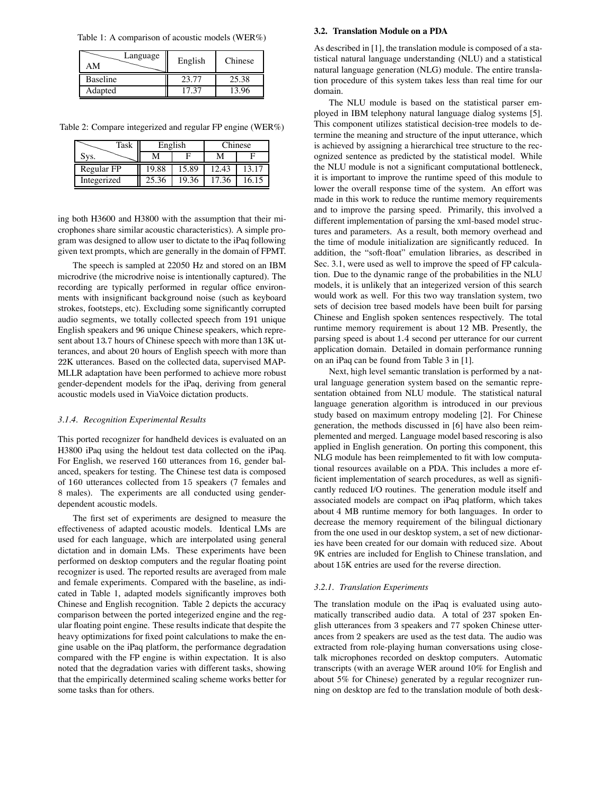Table 1: A comparison of acoustic models (WER%)

| Language<br>AМ  | English | Chinese |
|-----------------|---------|---------|
| <b>Baseline</b> | 23.77   | 25.38   |
| Adapted         | 17 37   | 13.96   |

Table 2: Compare integerized and regular FP engine (WER%)

| Task        | English |       | hinese. |       |
|-------------|---------|-------|---------|-------|
| уS.         |         |       |         |       |
| Regular FP  | 19.88   | 15.89 | 12.43   | 13.17 |
| Integerized | 25.36   | 19.36 | 17.36   | 16 15 |

ing both H3600 and H3800 with the assumption that their microphones share similar acoustic characteristics). A simple program was designed to allow user to dictate to the iPaq following given text prompts, which are generally in the domain of FPMT.

The speech is sampled at 22050 Hz and stored on an IBM microdrive (the microdrive noise is intentionally captured). The recording are typically performed in regular office environments with insignificant background noise (such as keyboard strokes, footsteps, etc). Excluding some significantly corrupted audio segments, we totally collected speech from 191 unique English speakers and 96 unique Chinese speakers, which represent about 13.7 hours of Chinese speech with more than 13K utterances, and about 20 hours of English speech with more than 22K utterances. Based on the collected data, supervised MAP-MLLR adaptation have been performed to achieve more robust gender-dependent models for the iPaq, deriving from general acoustic models used in ViaVoice dictation products.

#### *3.1.4. Recognition Experimental Results*

This ported recognizer for handheld devices is evaluated on an H3800 iPaq using the heldout test data collected on the iPaq. For English, we reserved 160 utterances from 16, gender balanced, speakers for testing. The Chinese test data is composed of 160 utterances collected from 15 speakers (7 females and males). The experiments are all conducted using genderdependent acoustic models.

The first set of experiments are designed to measure the effectiveness of adapted acoustic models. Identical LMs are used for each language, which are interpolated using general dictation and in domain LMs. These experiments have been performed on desktop computers and the regular floating point recognizer is used. The reported results are averaged from male and female experiments. Compared with the baseline, as indicated in Table 1, adapted models significantly improves both Chinese and English recognition. Table 2 depicts the accuracy comparison between the ported integerized engine and the regular floating point engine. These results indicate that despite the heavy optimizations for fixed point calculations to make the engine usable on the iPaq platform, the performance degradation compared with the FP engine is within expectation. It is also noted that the degradation varies with different tasks, showing that the empirically determined scaling scheme works better for some tasks than for others.

### **3.2. Translation Module on a PDA**

As described in [1], the translation module is composed of a statistical natural language understanding (NLU) and a statistical natural language generation (NLG) module. The entire translation procedure of this system takes less than real time for our domain.

The NLU module is based on the statistical parser employed in IBM telephony natural language dialog systems [5]. This component utilizes statistical decision-tree models to determine the meaning and structure of the input utterance, which is achieved by assigning a hierarchical tree structure to the recognized sentence as predicted by the statistical model. While the NLU module is not a significant computational bottleneck, it is important to improve the runtime speed of this module to lower the overall response time of the system. An effort was made in this work to reduce the runtime memory requirements and to improve the parsing speed. Primarily, this involved a different implementation of parsing the xml-based model structures and parameters. As a result, both memory overhead and the time of module initialization are significantly reduced. In addition, the "soft-float" emulation libraries, as described in Sec. 3.1, were used as well to improve the speed of FP calculation. Due to the dynamic range of the probabilities in the NLU models, it is unlikely that an integerized version of this search would work as well. For this two way translation system, two sets of decision tree based models have been built for parsing Chinese and English spoken sentences respectively. The total runtime memory requirement is about 12 MB. Presently, the parsing speed is about 1.4 second per utterance for our current application domain. Detailed in domain performance running on an iPaq can be found from Table 3 in [1].

Next, high level semantic translation is performed by a natural language generation system based on the semantic representation obtained from NLU module. The statistical natural language generation algorithm is introduced in our previous study based on maximum entropy modeling [2]. For Chinese generation, the methods discussed in [6] have also been reimplemented and merged. Language model based rescoring is also applied in English generation. On porting this component, this NLG module has been reimplemented to fit with low computational resources available on a PDA. This includes a more efficient implementation of search procedures, as well as significantly reduced I/O routines. The generation module itself and associated models are compact on iPaq platform, which takes about 4 MB runtime memory for both languages. In order to decrease the memory requirement of the bilingual dictionary from the one used in our desktop system, a set of new dictionaries have been created for our domain with reduced size. About 9K entries are included for English to Chinese translation, and about 15K entries are used for the reverse direction.

#### *3.2.1. Translation Experiments*

The translation module on the iPaq is evaluated using automatically transcribed audio data. A total of 237 spoken English utterances from 3 speakers and 77 spoken Chinese utterances from 2 speakers are used as the test data. The audio was extracted from role-playing human conversations using closetalk microphones recorded on desktop computers. Automatic transcripts (with an average WER around 10% for English and about 5% for Chinese) generated by a regular recognizer running on desktop are fed to the translation module of both desk-